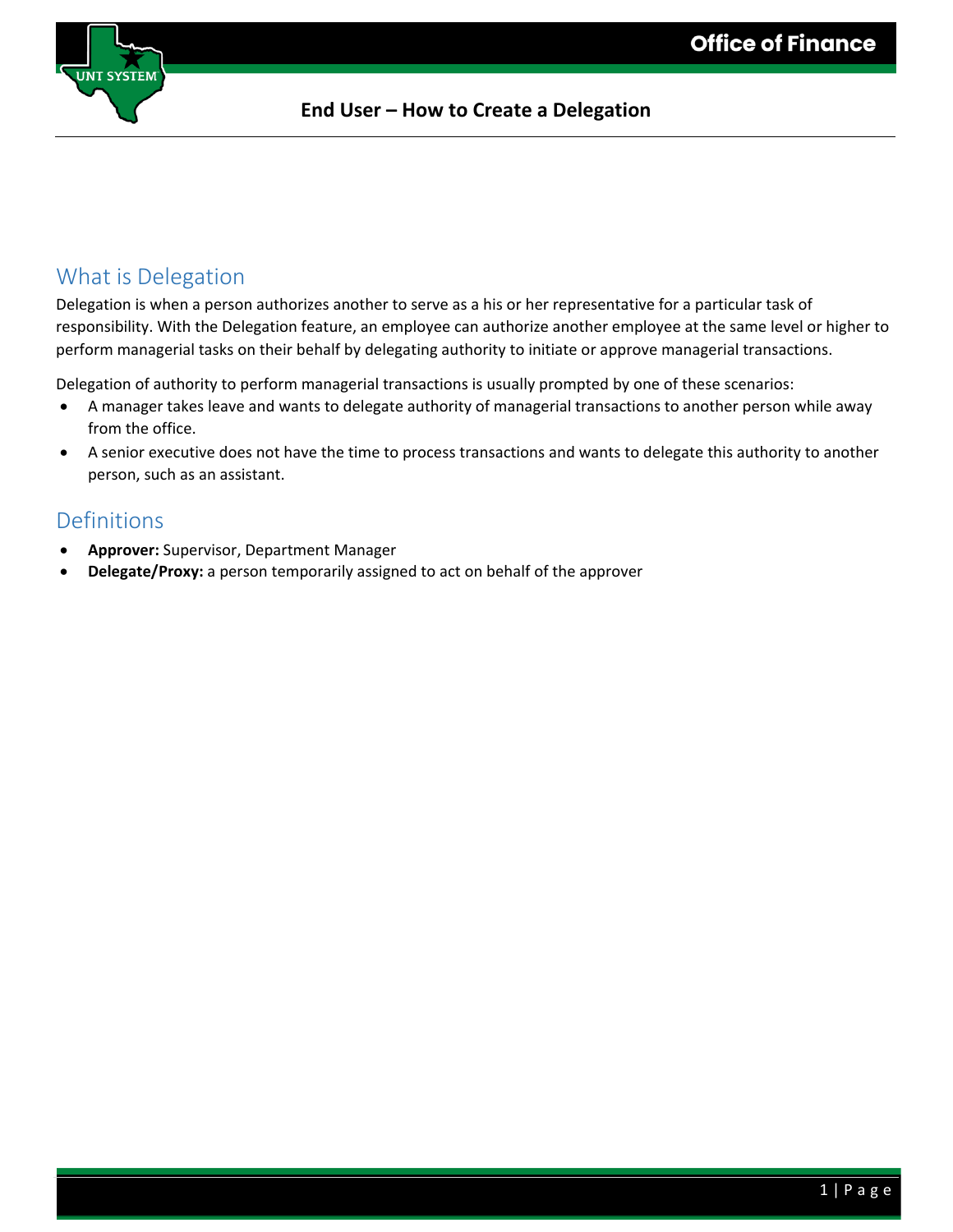

### What is Delegation

Delegation is when a person authorizes another to serve as a his or her representative for a particular task of responsibility. With the Delegation feature, an employee can authorize another employee at the same level or higher to perform managerial tasks on their behalf by delegating authority to initiate or approve managerial transactions.

Delegation of authority to perform managerial transactions is usually prompted by one of these scenarios:

- A manager takes leave and wants to delegate authority of managerial transactions to another person while away from the office.
- A senior executive does not have the time to process transactions and wants to delegate this authority to another person, such as an assistant.

### Definitions

- **Approver:** Supervisor, Department Manager
- **Delegate/Proxy:** a person temporarily assigned to act on behalf of the approver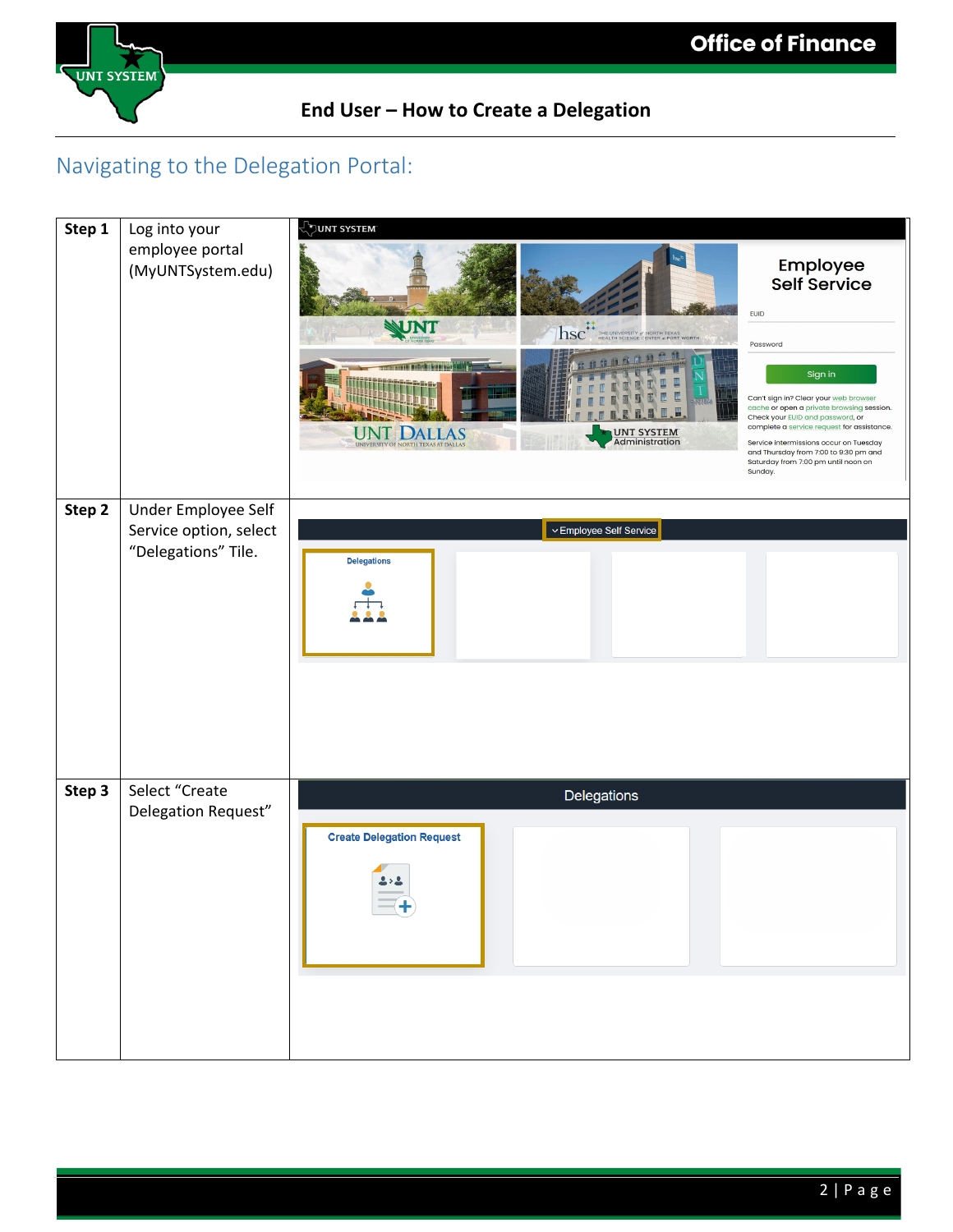

## Navigating to the Delegation Portal:

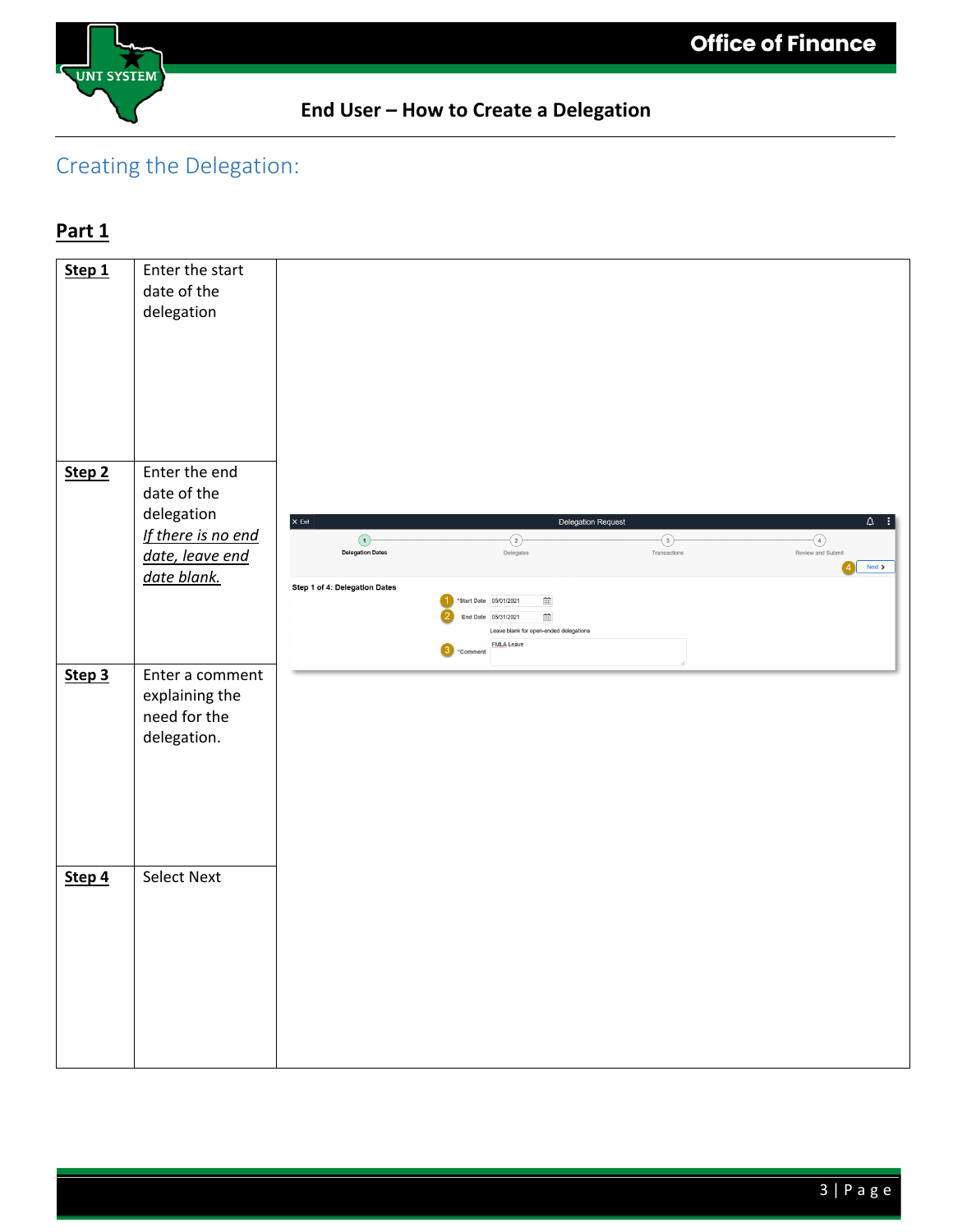

# Creating the Delegation:

## **Part 1**

| Step 1 | Enter the start    |                                    |                                                                                |                         |                                                 |
|--------|--------------------|------------------------------------|--------------------------------------------------------------------------------|-------------------------|-------------------------------------------------|
|        | date of the        |                                    |                                                                                |                         |                                                 |
|        | delegation         |                                    |                                                                                |                         |                                                 |
|        |                    |                                    |                                                                                |                         |                                                 |
|        |                    |                                    |                                                                                |                         |                                                 |
|        |                    |                                    |                                                                                |                         |                                                 |
|        |                    |                                    |                                                                                |                         |                                                 |
|        |                    |                                    |                                                                                |                         |                                                 |
|        |                    |                                    |                                                                                |                         |                                                 |
| Step 2 | Enter the end      |                                    |                                                                                |                         |                                                 |
|        | date of the        |                                    |                                                                                |                         |                                                 |
|        | delegation         |                                    |                                                                                |                         |                                                 |
|        | If there is no end | $\times$ Exit                      |                                                                                | Delegation Request      | $\begin{array}{cc} \Delta & \vdots \end{array}$ |
|        | date, leave end    | $\odot$<br><b>Delegation Dates</b> | $\odot$<br>Delegates                                                           | $\odot$<br>Transactions | $\bigodot$<br>Review and Submit                 |
|        | date blank.        |                                    |                                                                                |                         | Next >                                          |
|        |                    | Step 1 of 4: Delegation Dates      |                                                                                |                         |                                                 |
|        |                    |                                    | *Start Date 05/01/2021<br>$\Xi$<br>End Date 05/31/2021<br>$\widehat{\boxplus}$ |                         |                                                 |
|        |                    |                                    | Leave blank for open-ended delegations                                         |                         |                                                 |
|        |                    |                                    | <b>EMLA Leave</b><br>3<br>*Comment                                             |                         |                                                 |
| Step 3 | Enter a comment    |                                    |                                                                                |                         |                                                 |
|        | explaining the     |                                    |                                                                                |                         |                                                 |
|        | need for the       |                                    |                                                                                |                         |                                                 |
|        | delegation.        |                                    |                                                                                |                         |                                                 |
|        |                    |                                    |                                                                                |                         |                                                 |
|        |                    |                                    |                                                                                |                         |                                                 |
|        |                    |                                    |                                                                                |                         |                                                 |
|        |                    |                                    |                                                                                |                         |                                                 |
|        |                    |                                    |                                                                                |                         |                                                 |
|        | <b>Select Next</b> |                                    |                                                                                |                         |                                                 |
| Step 4 |                    |                                    |                                                                                |                         |                                                 |
|        |                    |                                    |                                                                                |                         |                                                 |
|        |                    |                                    |                                                                                |                         |                                                 |
|        |                    |                                    |                                                                                |                         |                                                 |
|        |                    |                                    |                                                                                |                         |                                                 |
|        |                    |                                    |                                                                                |                         |                                                 |
|        |                    |                                    |                                                                                |                         |                                                 |
|        |                    |                                    |                                                                                |                         |                                                 |
|        |                    |                                    |                                                                                |                         |                                                 |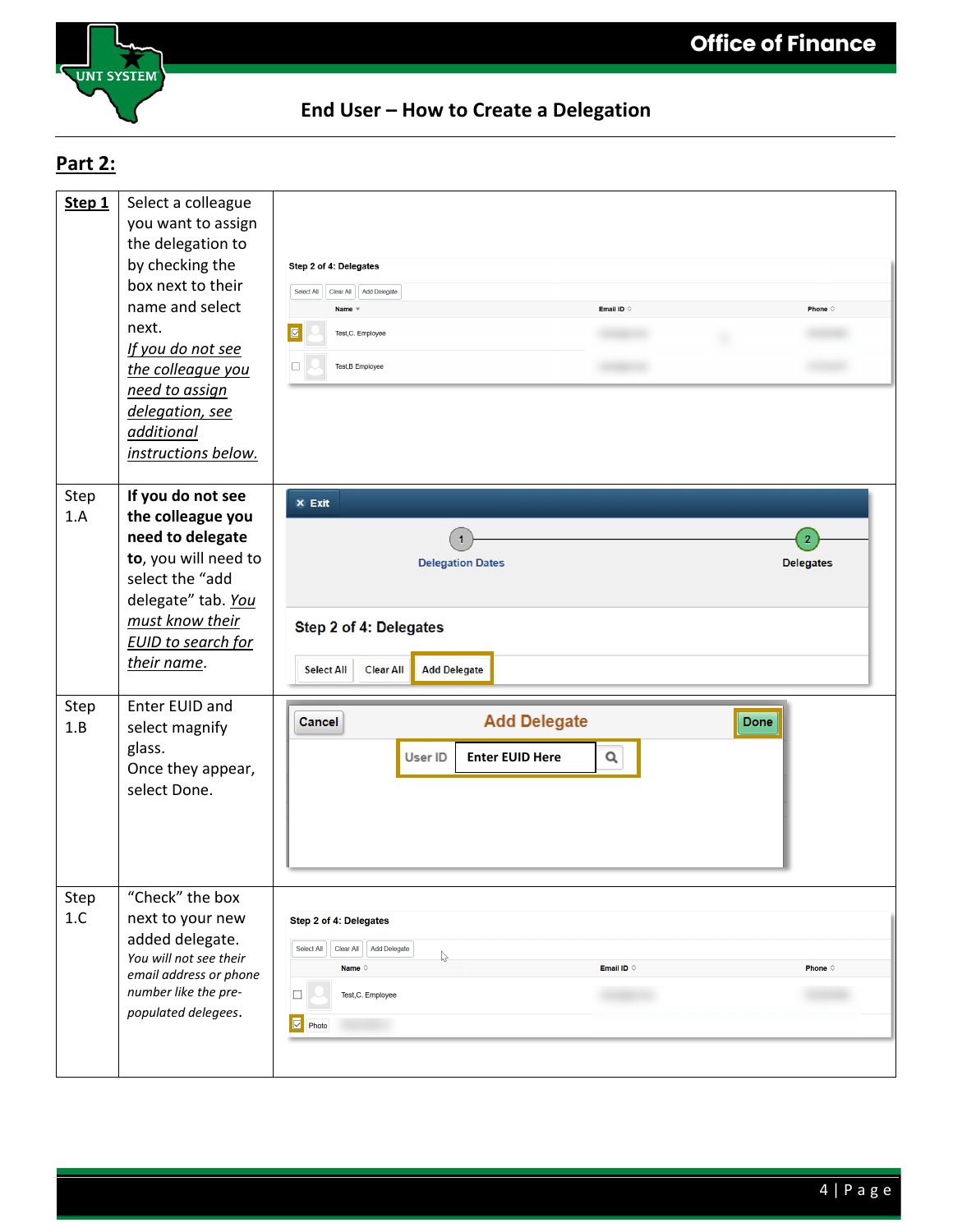

# **Part 2:**

| Step 1      | Select a colleague<br>you want to assign<br>the delegation to<br>by checking the<br>box next to their<br>name and select<br>next.<br>If you do not see<br>the colleague you<br>need to assign<br>delegation, see<br>additional<br>instructions below. | Step 2 of 4: Delegates<br>Select All<br>Add Delegate<br>Clear All<br>Email ID $\Diamond$<br>Phone $\diamond$<br><b>Name</b><br>$\boxed{\mathbf{z}}$<br>Test,C. Employee<br>$\Box$<br>Test, B Employee           |
|-------------|-------------------------------------------------------------------------------------------------------------------------------------------------------------------------------------------------------------------------------------------------------|-----------------------------------------------------------------------------------------------------------------------------------------------------------------------------------------------------------------|
| Step<br>1.A | If you do not see<br>the colleague you<br>need to delegate<br>to, you will need to<br>select the "add<br>delegate" tab. You<br>must know their<br><b>EUID</b> to search for<br>their name.                                                            | $\times$ Exit<br><b>Delegation Dates</b><br><b>Delegates</b><br>Step 2 of 4: Delegates<br><b>Add Delegate</b><br><b>Select All</b><br><b>Clear All</b>                                                          |
| Step<br>1.B | Enter EUID and<br>select magnify<br>glass.<br>Once they appear,<br>select Done.                                                                                                                                                                       | <b>Add Delegate</b><br>Done<br><b>Cancel</b><br><b>User ID</b><br><b>Enter EUID Here</b><br>Q                                                                                                                   |
| Step<br>1.C | "Check" the box<br>next to your new<br>added delegate.<br>You will not see their<br>email address or phone<br>number like the pre-<br>populated delegees.                                                                                             | Step 2 of 4: Delegates<br>Add Delegate<br>Select All<br>Clear All<br>$\mathbb{V}$<br><b>Phone</b> $\diamond$<br>Email ID $\circ$<br>Name $\Diamond$<br>$\Box$<br>Test, C. Employee<br>$\overline{\Xi}$<br>Photo |